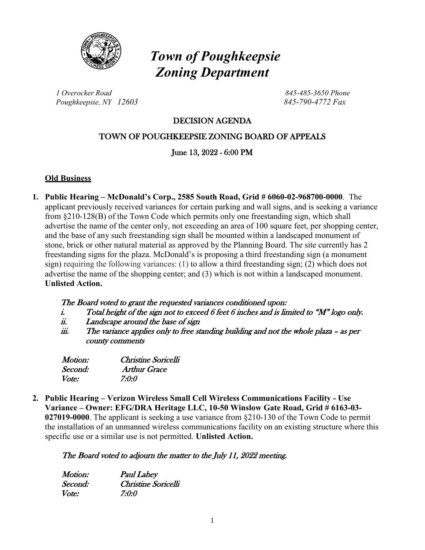

# *Town of Poughkeepsie Zoning Department*

*1 Overocker Road 845-485-3650 Phone Poughkeepsie, NY 12603 845-790-4772 Fax*

### DECISION AGENDA

### TOWN OF POUGHKEEPSIE ZONING BOARD OF APPEALS

June 13, 2022 - 6:00 PM

#### **Old Business**

**1. Public Hearing – McDonald's Corp., 2585 South Road, Grid # 6060-02-968700-0000**. The applicant previously received variances for certain parking and wall signs, and is seeking a variance from §210-128(B) of the Town Code which permits only one freestanding sign, which shall advertise the name of the center only, not exceeding an area of 100 square feet, per shopping center, and the base of any such freestanding sign shall be mounted within a landscaped monument of stone, brick or other natural material as approved by the Planning Board. The site currently has 2 freestanding signs for the plaza. McDonald's is proposing a third freestanding sign (a monument sign) requiring the following variances: (1) to allow a third freestanding sign; (2) which does not advertise the name of the shopping center; and (3) which is not within a landscaped monument. **Unlisted Action.** 

#### The Board voted to grant the requested variances conditioned upon:

- i. Total height of the sign not to exceed 6 feet 6 inches and is limited to " $M$ " logo only.
- ii. Landscape around the base of sign
- iii. The variance applies only to free standing building and not the whole plaza as per county comments

| <i>Motion:</i> | Christine Soricelli |
|----------------|---------------------|
| Second:        | <b>Arthur Grace</b> |
| <i>Vote:</i>   | 7:0:0               |

**2. Public Hearing – Verizon Wireless Small Cell Wireless Communications Facility - Use Variance – Owner: EFG/DRA Heritage LLC, 10-50 Winslow Gate Road, Grid # 6163-03- 027019-0000**. The applicant is seeking a use variance from §210-130 of the Town Code to permit the installation of an unmanned wireless communications facility on an existing structure where this specific use or a similar use is not permitted. **Unlisted Action.**

#### The Board voted to adjourn the matter to the July 11, 2022 meeting.

| Motion: | <b>Paul Lahey</b>   |
|---------|---------------------|
| Second: | Christine Soricelli |
| Vote:   | 7:0:0               |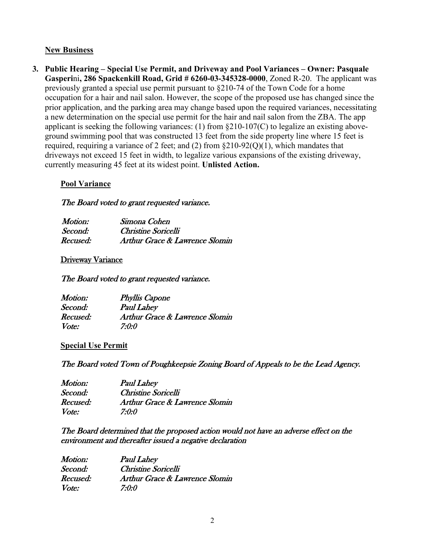#### **New Business**

**3. Public Hearing – Special Use Permit, and Driveway and Pool Variances – Owner: Pasquale Gasperi**ni**, 286 Spackenkill Road, Grid # 6260-03-345328-0000**, Zoned R-20. The applicant was previously granted a special use permit pursuant to §210-74 of the Town Code for a home occupation for a hair and nail salon. However, the scope of the proposed use has changed since the prior application, and the parking area may change based upon the required variances, necessitating a new determination on the special use permit for the hair and nail salon from the ZBA. The app applicant is seeking the following variances: (1) from §210-107(C) to legalize an existing aboveground swimming pool that was constructed 13 feet from the side property line where 15 feet is required, requiring a variance of 2 feet; and (2) from  $\S210-92(0)(1)$ , which mandates that driveways not exceed 15 feet in width, to legalize various expansions of the existing driveway, currently measuring 45 feet at its widest point. **Unlisted Action.**

#### **Pool Variance**

#### The Board voted to grant requested variance.

| Motion:  | Simona Cohen                   |
|----------|--------------------------------|
| Second:  | Christine Soricelli            |
| Recused: | Arthur Grace & Lawrence Slomin |

#### Driveway Variance

The Board voted to grant requested variance.

| Motion:  | <b>Phyllis Capone</b>                     |
|----------|-------------------------------------------|
| Second:  | <b>Paul Lahey</b>                         |
| Recused: | <b>Arthur Grace &amp; Lawrence Slomin</b> |
| Vote:    | 7:0:0                                     |

#### **Special Use Permit**

The Board voted Town of Poughkeepsie Zoning Board of Appeals to be the Lead Agency.

| Motion:  | <b>Paul Lahey</b>              |
|----------|--------------------------------|
| Second:  | Christine Soricelli            |
| Recused: | Arthur Grace & Lawrence Slomin |
| Vote:    | 7:0:0                          |

#### The Board determined that the proposed action would not have an adverse effect on the environment and thereafter issued a negative declaration

| Motion:      | <b>Paul Lahey</b>              |
|--------------|--------------------------------|
| Second:      | Christine Soricelli            |
| Recused:     | Arthur Grace & Lawrence Slomin |
| <i>Vote:</i> | 7:0:0                          |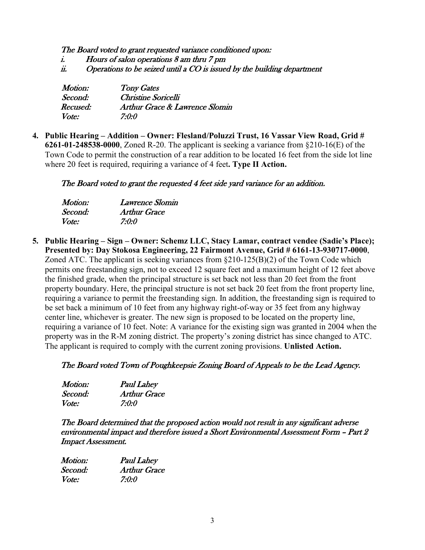The Board voted to grant requested variance conditioned upon:

- i. Hours of salon operations 8 am thru 7 pm
- ii. Operations to be seized until a  $CO$  is issued by the building department

| Motion:  | <b>Tony Gates</b>                         |
|----------|-------------------------------------------|
| Second:  | Christine Soricelli                       |
| Recused: | <b>Arthur Grace &amp; Lawrence Slomin</b> |
| Vote:    | 7:0:0                                     |

**4. Public Hearing – Addition – Owner: Flesland/Poluzzi Trust, 16 Vassar View Road, Grid # 6261-01-248538-0000**, Zoned R-20. The applicant is seeking a variance from §210-16(E) of the Town Code to permit the construction of a rear addition to be located 16 feet from the side lot line where 20 feet is required, requiring a variance of 4 feet**. Type II Action.**

The Board voted to grant the requested 4 feet side yard variance for an addition.

| Motion: | Lawrence Slomin |
|---------|-----------------|
| Second: | Arthur Grace    |
| Vote:   | 7:0:0           |

**5. Public Hearing – Sign – Owner: Schemz LLC, Stacy Lamar, contract vendee (Sadie's Place); Presented by: Day Stokosa Engineering, 22 Fairmont Avenue, Grid # 6161-13-930717-0000**, Zoned ATC. The applicant is seeking variances from  $\S210-125(B)(2)$  of the Town Code which permits one freestanding sign, not to exceed 12 square feet and a maximum height of 12 feet above the finished grade, when the principal structure is set back not less than 20 feet from the front property boundary. Here, the principal structure is not set back 20 feet from the front property line, requiring a variance to permit the freestanding sign. In addition, the freestanding sign is required to be set back a minimum of 10 feet from any highway right-of-way or 35 feet from any highway center line, whichever is greater. The new sign is proposed to be located on the property line, requiring a variance of 10 feet. Note: A variance for the existing sign was granted in 2004 when the property was in the R-M zoning district. The property's zoning district has since changed to ATC. The applicant is required to comply with the current zoning provisions. **Unlisted Action.**

#### The Board voted Town of Poughkeepsie Zoning Board of Appeals to be the Lead Agency.

| Motion:      | <b>Paul Lahey</b>   |
|--------------|---------------------|
| Second:      | <b>Arthur Grace</b> |
| <i>Vote:</i> | 7:0:0               |

The Board determined that the proposed action would not result in any significant adverse environmental impact and therefore issued a Short Environmental Assessment Form – Part 2 Impact Assessment.

| Motion:      | <b>Paul Lahey</b>   |
|--------------|---------------------|
| Second:      | <b>Arthur Grace</b> |
| <i>Vote:</i> | 7:0:0               |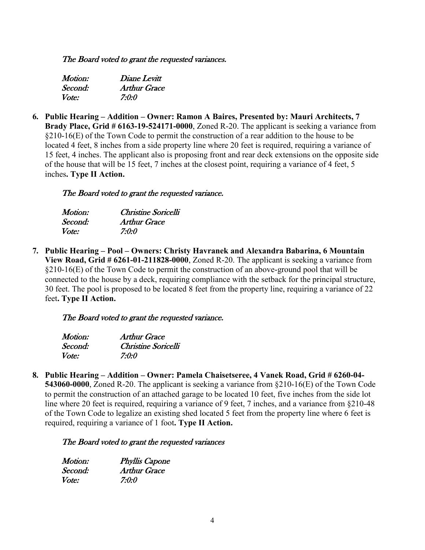#### The Board voted to grant the requested variances.

| Motion:      | Diane Levitt        |
|--------------|---------------------|
| Second:      | <b>Arthur Grace</b> |
| <i>Vote:</i> | 7:0:0               |

**6. Public Hearing – Addition – Owner: Ramon A Baires, Presented by: Mauri Architects, 7 Brady Place, Grid # 6163-19-524171-0000**, Zoned R-20. The applicant is seeking a variance from  $§210-16(E)$  of the Town Code to permit the construction of a rear addition to the house to be located 4 feet, 8 inches from a side property line where 20 feet is required, requiring a variance of 15 feet, 4 inches. The applicant also is proposing front and rear deck extensions on the opposite side of the house that will be 15 feet, 7 inches at the closest point, requiring a variance of 4 feet, 5 inches**. Type II Action.**

#### The Board voted to grant the requested variance.

| Motion: | Christine Soricelli |
|---------|---------------------|
| Second: | Arthur Grace        |
| Vote:   | 7:0:0               |

**7. Public Hearing – Pool – Owners: Christy Havranek and Alexandra Babarina, 6 Mountain View Road, Grid # 6261-01-211828-0000**, Zoned R-20. The applicant is seeking a variance from  $\S210-16(E)$  of the Town Code to permit the construction of an above-ground pool that will be connected to the house by a deck, requiring compliance with the setback for the principal structure, 30 feet. The pool is proposed to be located 8 feet from the property line, requiring a variance of 22 feet**. Type II Action.**

#### The Board voted to grant the requested variance.

| Motion:      | Arthur Grace        |
|--------------|---------------------|
| Second:      | Christine Soricelli |
| <i>Vote:</i> | 7:0:0               |

**8. Public Hearing – Addition – Owner: Pamela Chaisetseree, 4 Vanek Road, Grid # 6260-04- 543060-0000**, Zoned R-20. The applicant is seeking a variance from §210-16(E) of the Town Code to permit the construction of an attached garage to be located 10 feet, five inches from the side lot line where 20 feet is required, requiring a variance of 9 feet, 7 inches, and a variance from §210-48 of the Town Code to legalize an existing shed located 5 feet from the property line where 6 feet is required, requiring a variance of 1 foot**. Type II Action.**

#### The Board voted to grant the requested variances

| Motion:      | <b>Phyllis Capone</b> |
|--------------|-----------------------|
| Second:      | <b>Arthur Grace</b>   |
| <i>Vote:</i> | 7:0:0                 |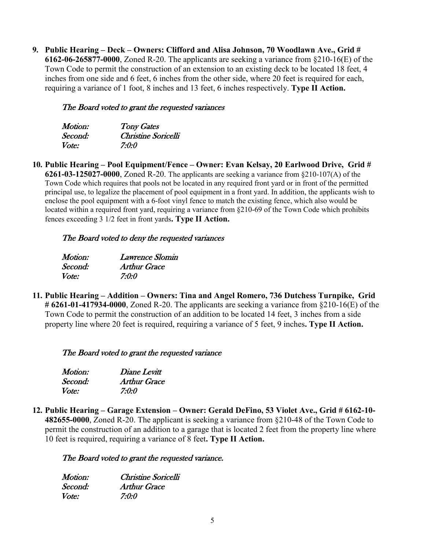**9. Public Hearing – Deck – Owners: Clifford and Alisa Johnson, 70 Woodlawn Ave., Grid # 6162-06-265877-0000**, Zoned R-20. The applicants are seeking a variance from §210-16(E) of the Town Code to permit the construction of an extension to an existing deck to be located 18 feet, 4 inches from one side and 6 feet, 6 inches from the other side, where 20 feet is required for each, requiring a variance of 1 foot, 8 inches and 13 feet, 6 inches respectively. **Type II Action.**

#### The Board voted to grant the requested variances

| <i>Motion:</i> | <b>Tony Gates</b>   |
|----------------|---------------------|
| Second:        | Christine Soricelli |
| Vote:          | 7:0:0               |

**10. Public Hearing – Pool Equipment/Fence – Owner: Evan Kelsay, 20 Earlwood Drive, Grid # 6261-03-125027-0000**, Zoned R-20. The applicants are seeking a variance from §210-107(A) of the Town Code which requires that pools not be located in any required front yard or in front of the permitted principal use, to legalize the placement of pool equipment in a front yard. In addition, the applicants wish to enclose the pool equipment with a 6-foot vinyl fence to match the existing fence, which also would be located within a required front yard, requiring a variance from §210-69 of the Town Code which prohibits fences exceeding 3 1/2 feet in front yards**. Type II Action.**

#### The Board voted to deny the requested variances

| <i>Motion:</i> | Lawrence Slomin |
|----------------|-----------------|
| Second:        | Arthur Grace    |
| Vote:          | 7:0:0           |

**11. Public Hearing – Addition – Owners: Tina and Angel Romero, 736 Dutchess Turnpike, Grid # 6261-01-417934-0000**, Zoned R-20. The applicants are seeking a variance from §210-16(E) of the Town Code to permit the construction of an addition to be located 14 feet, 3 inches from a side property line where 20 feet is required, requiring a variance of 5 feet, 9 inches**. Type II Action.**

#### The Board voted to grant the requested variance

| Motion: | Diane Levitt        |
|---------|---------------------|
| Second: | <b>Arthur Grace</b> |
| Vote:   | 7:0:0               |

**12. Public Hearing – Garage Extension – Owner: Gerald DeFino, 53 Violet Ave., Grid # 6162-10- 482655-0000**, Zoned R-20. The applicant is seeking a variance from §210-48 of the Town Code to permit the construction of an addition to a garage that is located 2 feet from the property line where 10 feet is required, requiring a variance of 8 feet**. Type II Action.**

#### The Board voted to grant the requested variance.

| Motion: | Christine Soricelli |
|---------|---------------------|
| Second: | <b>Arthur Grace</b> |
| Vote:   | 7:0:0               |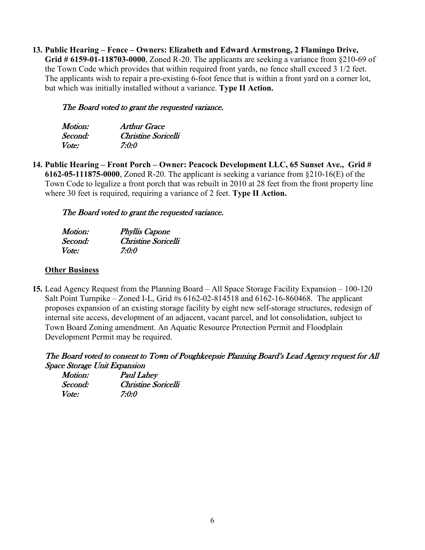**13. Public Hearing – Fence – Owners: Elizabeth and Edward Armstrong, 2 Flamingo Drive, Grid # 6159-01-118703-0000**, Zoned R-20. The applicants are seeking a variance from §210-69 of the Town Code which provides that within required front yards, no fence shall exceed 3 1/2 feet. The applicants wish to repair a pre-existing 6-foot fence that is within a front yard on a corner lot, but which was initially installed without a variance. **Type II Action.**

#### The Board voted to grant the requested variance.

| Motion: | Arthur Grace        |
|---------|---------------------|
| Second: | Christine Soricelli |
| Vote:   | 7:0:0               |

**14. Public Hearing – Front Porch – Owner: Peacock Development LLC, 65 Sunset Ave., Grid # 6162-05-111875-0000**, Zoned R-20. The applicant is seeking a variance from §210-16(E) of the Town Code to legalize a front porch that was rebuilt in 2010 at 28 feet from the front property line where 30 feet is required, requiring a variance of 2 feet. **Type II Action.**

### The Board voted to grant the requested variance.

| <i>Motion:</i> | <b>Phyllis Capone</b> |
|----------------|-----------------------|
| Second:        | Christine Soricelli   |
| <i>Vote:</i>   | 7:0:0                 |

#### **Other Business**

**15.** Lead Agency Request from the Planning Board – All Space Storage Facility Expansion – 100-120 Salt Point Turnpike – Zoned I-L, Grid #s 6162-02-814518 and 6162-16-860468. The applicant proposes expansion of an existing storage facility by eight new self-storage structures, redesign of internal site access, development of an adjacent, vacant parcel, and lot consolidation, subject to Town Board Zoning amendment. An Aquatic Resource Protection Permit and Floodplain Development Permit may be required.

#### The Board voted to consent to Town of Poughkeepsie Planning Board's Lead Agency request for All Space Storage Unit Expansion

| Motion: | <b>Paul Lahey</b>   |
|---------|---------------------|
| Second: | Christine Soricelli |
| Vote:   | 7:0:0               |